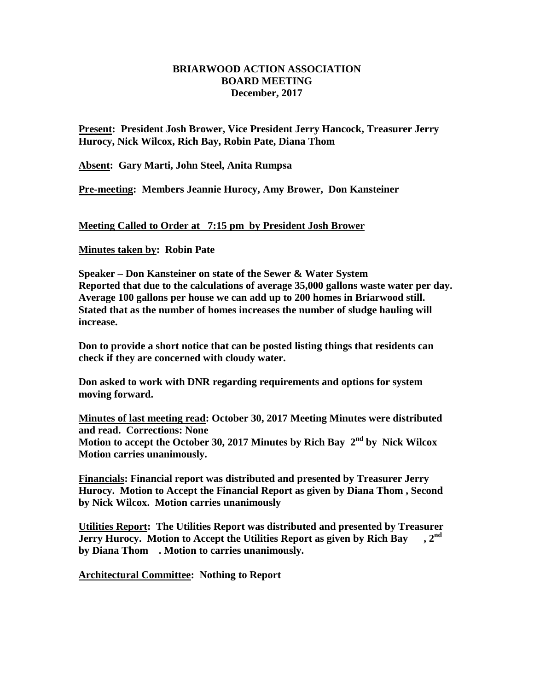## **BRIARWOOD ACTION ASSOCIATION BOARD MEETING December, 2017**

**Present: President Josh Brower, Vice President Jerry Hancock, Treasurer Jerry Hurocy, Nick Wilcox, Rich Bay, Robin Pate, Diana Thom**

**Absent: Gary Marti, John Steel, Anita Rumpsa**

**Pre-meeting: Members Jeannie Hurocy, Amy Brower, Don Kansteiner**

**Meeting Called to Order at 7:15 pm by President Josh Brower**

**Minutes taken by: Robin Pate**

**Speaker – Don Kansteiner on state of the Sewer & Water System Reported that due to the calculations of average 35,000 gallons waste water per day. Average 100 gallons per house we can add up to 200 homes in Briarwood still. Stated that as the number of homes increases the number of sludge hauling will increase.**

**Don to provide a short notice that can be posted listing things that residents can check if they are concerned with cloudy water.**

**Don asked to work with DNR regarding requirements and options for system moving forward.**

**Minutes of last meeting read: October 30, 2017 Meeting Minutes were distributed and read. Corrections: None Motion to accept the October 30, 2017 Minutes by Rich Bay 2 nd by Nick Wilcox Motion carries unanimously.**

**Financials: Financial report was distributed and presented by Treasurer Jerry Hurocy. Motion to Accept the Financial Report as given by Diana Thom , Second by Nick Wilcox. Motion carries unanimously**

**Utilities Report: The Utilities Report was distributed and presented by Treasurer Jerry Hurocy. Motion to Accept the Utilities Report as given by Rich Bay , 2nd by Diana Thom . Motion to carries unanimously.**

**Architectural Committee: Nothing to Report**